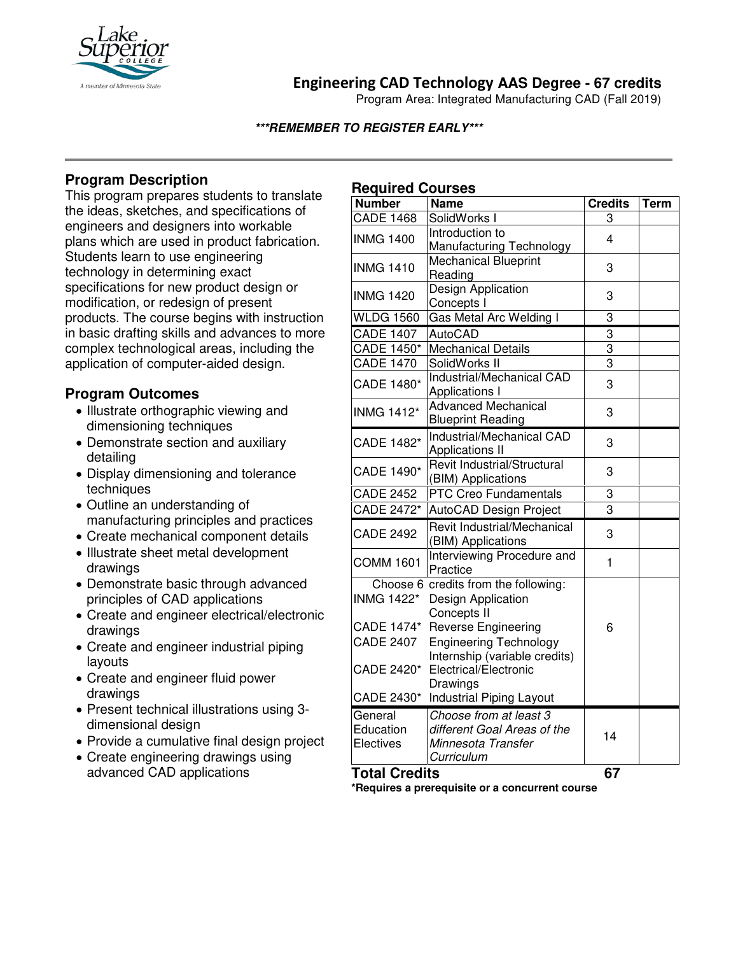

# **Engineering CAD Technology AAS Degree - 67 credits**

Program Area: Integrated Manufacturing CAD (Fall 2019)

### **\*\*\*REMEMBER TO REGISTER EARLY\*\*\***

# **Program Description**

This program prepares students to translate the ideas, sketches, and specifications of engineers and designers into workable plans which are used in product fabrication. Students learn to use engineering technology in determining exact specifications for new product design or modification, or redesign of present products. The course begins with instruction in basic drafting skills and advances to more complex technological areas, including the application of computer-aided design.

## **Program Outcomes**

- Illustrate orthographic viewing and dimensioning techniques
- Demonstrate section and auxiliary detailing
- Display dimensioning and tolerance techniques
- Outline an understanding of manufacturing principles and practices
- Create mechanical component details
- Illustrate sheet metal development drawings
- Demonstrate basic through advanced principles of CAD applications
- Create and engineer electrical/electronic drawings
- Create and engineer industrial piping layouts
- Create and engineer fluid power drawings
- Present technical illustrations using 3 dimensional design
- Provide a cumulative final design project
- Create engineering drawings using advanced CAD applications

## **Required Courses**

| noqunou (<br>JUUI JUJ |                                      |                |             |
|-----------------------|--------------------------------------|----------------|-------------|
| <b>Number</b>         | <b>Name</b>                          | <b>Credits</b> | <b>Term</b> |
| <b>CADE 1468</b>      | SolidWorks I                         | 3              |             |
| <b>INMG 1400</b>      | Introduction to                      | 4              |             |
|                       | Manufacturing Technology             |                |             |
| <b>INMG 1410</b>      | <b>Mechanical Blueprint</b>          | 3              |             |
|                       | Reading                              |                |             |
| <b>INMG 1420</b>      | Design Application                   | 3              |             |
|                       | Concepts I                           |                |             |
| <b>WLDG 1560</b>      | Gas Metal Arc Welding I              | 3              |             |
| <b>CADE 1407</b>      | <b>AutoCAD</b>                       | 3              |             |
| <b>CADE 1450*</b>     | <b>Mechanical Details</b>            | $\overline{3}$ |             |
| <b>CADE 1470</b>      | SolidWorks II                        | $\overline{3}$ |             |
| CADE 1480*            | Industrial/Mechanical CAD            | 3              |             |
|                       | Applications I                       |                |             |
| <b>INMG 1412*</b>     | <b>Advanced Mechanical</b>           | 3              |             |
|                       | <b>Blueprint Reading</b>             |                |             |
| CADE 1482*            | Industrial/Mechanical CAD            | 3              |             |
|                       | <b>Applications II</b>               |                |             |
| CADE 1490*            | <b>Revit Industrial/Structural</b>   | 3              |             |
|                       | (BIM) Applications                   |                |             |
| <b>CADE 2452</b>      | <b>PTC Creo Fundamentals</b>         | 3              |             |
| CADE 2472*            | AutoCAD Design Project               | 3              |             |
| <b>CADE 2492</b>      | Revit Industrial/Mechanical          |                |             |
|                       | (BIM) Applications                   | 3              |             |
| <b>COMM 1601</b>      | Interviewing Procedure and           | $\mathbf{1}$   |             |
|                       | Practice                             |                |             |
|                       | Choose 6 credits from the following: |                |             |
| <b>INMG 1422*</b>     | Design Application                   |                |             |
|                       | Concepts II                          |                |             |
| CADE 1474*            | <b>Reverse Engineering</b>           | 6              |             |
| <b>CADE 2407</b>      | <b>Engineering Technology</b>        |                |             |
|                       | Internship (variable credits)        |                |             |
| CADE 2420*            | Electrical/Electronic                |                |             |
|                       | Drawings                             |                |             |
| CADE 2430*            | Industrial Piping Layout             |                |             |
| General               | Choose from at least 3               |                |             |
| Education             | different Goal Areas of the          | 14             |             |
| Electives             | Minnesota Transfer                   |                |             |
|                       | Curriculum                           |                |             |
| <b>Total Credits</b>  |                                      | 67             |             |

**\*Requires a prerequisite or a concurrent course**